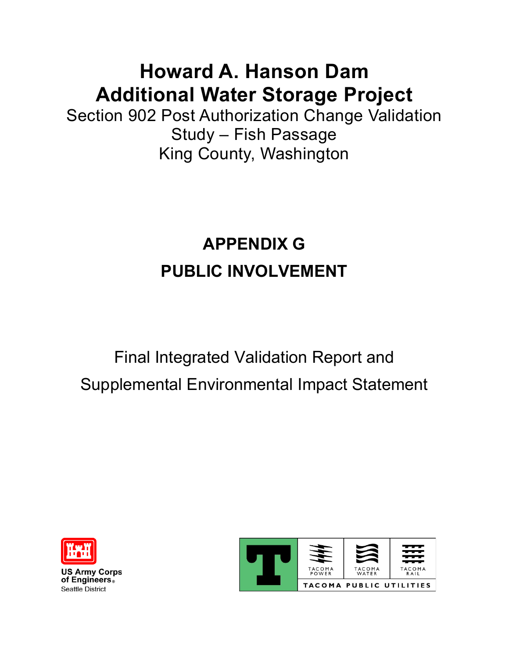## **Howard A. Hanson Dam Additional Water Storage Project**

Section 902 Post Authorization Change Validation Study – Fish Passage King County, Washington

# **APPENDIX G PUBLIC INVOLVEMENT**

# Final Integrated Validation Report and Supplemental Environmental Impact Statement



**US Army Corps** of Engineers. Seattle District

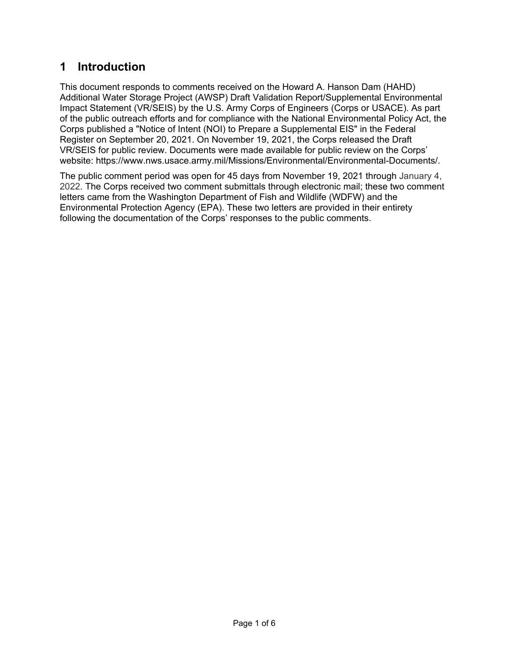### **1 Introduction**

This document responds to comments received on the Howard A. Hanson Dam (HAHD) Additional Water Storage Project (AWSP) Draft Validation Report/Supplemental Environmental Impact Statement (VR/SEIS) by the U.S. Army Corps of Engineers (Corps or USACE). As part of the public outreach efforts and for compliance with the National Environmental Policy Act, the Corps published a "Notice of Intent (NOI) to Prepare a Supplemental EIS" in the Federal Register on September 20, 2021. On November 19, 2021, the Corps released the Draft VR/SEIS for public review. Documents were made available for public review on the Corps' website: https://www.nws.usace.army.mil/Missions/Environmental/Environmental-Documents/.

The public comment period was open for 45 days from November 19, 2021 through January 4, 2022. The Corps received two comment submittals through electronic mail; these two comment letters came from the Washington Department of Fish and Wildlife (WDFW) and the Environmental Protection Agency (EPA). These two letters are provided in their entirety following the documentation of the Corps' responses to the public comments.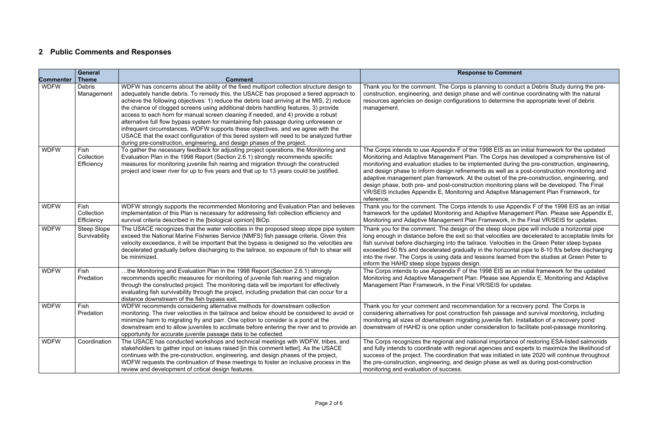#### **Re to Comment**

nning to conduct a Debris Study during the preand will continue coordinating with the natural to determine the appropriate level of debris

998 EIS as an initial framework for the updated The Corps has developed a comprehensive list of mented during the pre-construction, engineering, ts as well as a post-construction monitoring and outset of the pre-construction, engineering, and monitoring plans will be developed. The Final d Adaptive Management Plan Framework, for

Is to use Appendix F of the 1998 EIS as an initial aptive Management Plan. Please see Appendix E, ramework, in the Final VR/SEIS for updates.

e steep slope pipe will include a horizontal pipe It velocities are decelerated to acceptable limits for fish survival before discharging into the Green Peter steep bypass  $\alpha$  the horizontal pipe to 8-10 ft/s before discharging sons learned from the studies at Green Peter to

998 EIS as an initial framework for the updated Please see Appendix E, Monitoring and Adaptive R/SEIS for updates.

Thation for a recovery pond. The Corps is fish passage and survival monitoring, including juvenile fish. Installation of a recovery pond nsideration to facilitate post-passage monitoring.

al importance of restoring ESA-listed salmonids gencies and experts to maximize the likelihood of was initiated in late 2020 will continue throughout phase as well as during post-construction

### **2 Public Comments and Responses**

|                  | <b>General</b>                      |                                                                                                                                                                                                                                                                                                                                                                                                                                                                                                                                                                                                                                                                                                                                                                                                                  | <b>Respons</b>                                                                                                                                                                                                                                                                                                                                            |
|------------------|-------------------------------------|------------------------------------------------------------------------------------------------------------------------------------------------------------------------------------------------------------------------------------------------------------------------------------------------------------------------------------------------------------------------------------------------------------------------------------------------------------------------------------------------------------------------------------------------------------------------------------------------------------------------------------------------------------------------------------------------------------------------------------------------------------------------------------------------------------------|-----------------------------------------------------------------------------------------------------------------------------------------------------------------------------------------------------------------------------------------------------------------------------------------------------------------------------------------------------------|
| <b>Commenter</b> | <b>Theme</b>                        | <b>Comment</b>                                                                                                                                                                                                                                                                                                                                                                                                                                                                                                                                                                                                                                                                                                                                                                                                   |                                                                                                                                                                                                                                                                                                                                                           |
| <b>WDFW</b>      | <b>Debris</b><br>Management         | WDFW has concerns about the ability of the fixed multiport collection structure design to<br>adequately handle debris. To remedy this, the USACE has proposed a tiered approach to<br>achieve the following objectives: 1) reduce the debris load arriving at the MIS, 2) reduce<br>the chance of clogged screens using additional debris handling features, 3) provide<br>access to each horn for manual screen cleaning if needed, and 4) provide a robust<br>alternative full flow bypass system for maintaining fish passage during unforeseen or<br>infrequent circumstances. WDFW supports these objectives, and we agree with the<br>USACE that the exact configuration of this tiered system will need to be analyzed further<br>during pre-construction, engineering, and design phases of the project. | Thank you for the comment. The Corps is plar<br>construction, engineering, and design phase a<br>resources agencies on design configurations t<br>management.                                                                                                                                                                                             |
| <b>WDFW</b>      | Fish<br>Collection<br>Efficiency    | To gather the necessary feedback for adjusting project operations, the Monitoring and<br>Evaluation Plan in the 1998 Report (Section 2.6.1) strongly recommends specific<br>measures for monitoring juvenile fish rearing and migration through the constructed<br>project and lower river for up to five years and that up to 13 years could be justified.                                                                                                                                                                                                                                                                                                                                                                                                                                                      | The Corps intends to use Appendix F of the 19<br>Monitoring and Adaptive Management Plan. T<br>monitoring and evaluation studies to be impler<br>and design phase to inform design refinement<br>adaptive management plan framework. At the<br>design phase, both pre- and post-construction<br>VR/SEIS includes Appendix E, Monitoring and<br>reference. |
| <b>WDFW</b>      | Fish<br>Collection<br>Efficiency    | WDFW strongly supports the recommended Monitoring and Evaluation Plan and believes<br>implementation of this Plan is necessary for addressing fish collection efficiency and<br>survival criteria described in the [biological opinion] BiOp.                                                                                                                                                                                                                                                                                                                                                                                                                                                                                                                                                                    | Thank you for the comment. The Corps intend<br>framework for the updated Monitoring and Ada<br>Monitoring and Adaptive Management Plan Fr                                                                                                                                                                                                                 |
| <b>WDFW</b>      | <b>Steep Slope</b><br>Survivability | The USACE recognizes that the water velocities in the proposed steep slope pipe system<br>exceed the National Marine Fisheries Service (NMFS) fish passage criteria. Given this<br>velocity exceedance, it will be important that the bypass is designed so the velocities are<br>decelerated gradually before discharging to the tailrace, so exposure of fish to shear will<br>be minimized.                                                                                                                                                                                                                                                                                                                                                                                                                   | Thank you for the comment. The design of the<br>long enough in distance before the exit so that<br>fish survival before discharging into the tailrac<br>exceeded 50 ft/s and decelerated gradually in<br>into the river. The Corps is using data and less<br>inform the HAHD steep slope bypass design.                                                   |
| <b>WDFW</b>      | Fish<br>Predation                   | the Monitoring and Evaluation Plan in the 1998 Report (Section 2.6.1) strongly<br>recommends specific measures for monitoring of juvenile fish rearing and migration<br>through the constructed project. The monitoring data will be important for effectively<br>evaluating fish survivability through the project, including predation that can occur for a<br>distance downstream of the fish bypass exit.                                                                                                                                                                                                                                                                                                                                                                                                    | The Corps intends to use Appendix F of the 19<br>Monitoring and Adaptive Management Plan. P<br>Management Plan Framework, in the Final VF                                                                                                                                                                                                                 |
| <b>WDFW</b>      | <b>Fish</b><br>Predation            | WDFW recommends considering alternative methods for downstream collection<br>monitoring. The river velocities in the tailrace and below should be considered to avoid or<br>minimize harm to migrating fry and parr. One option to consider is a pond at the<br>downstream end to allow juveniles to acclimate before entering the river and to provide an<br>opportunity for accurate juvenile passage data to be collected.                                                                                                                                                                                                                                                                                                                                                                                    | Thank you for your comment and recommend<br>considering alternatives for post construction f<br>monitoring all sizes of downstream migrating j<br>downstream of HAHD is one option under con                                                                                                                                                              |
| <b>WDFW</b>      | Coordination                        | The USACE has conducted workshops and technical meetings with WDFW, tribes, and<br>stakeholders to gather input on issues raised [in this comment letter]. As the USACE<br>continues with the pre-construction, engineering, and design phases of the project,<br>WDFW requests the continuation of these meetings to foster an inclusive process in the<br>review and development of critical design features.                                                                                                                                                                                                                                                                                                                                                                                                  | The Corps recognizes the regional and nation<br>and fully intends to coordinate with regional ag<br>success of the project. The coordination that v<br>the pre-construction, engineering, and design<br>monitoring and evaluation of success.                                                                                                             |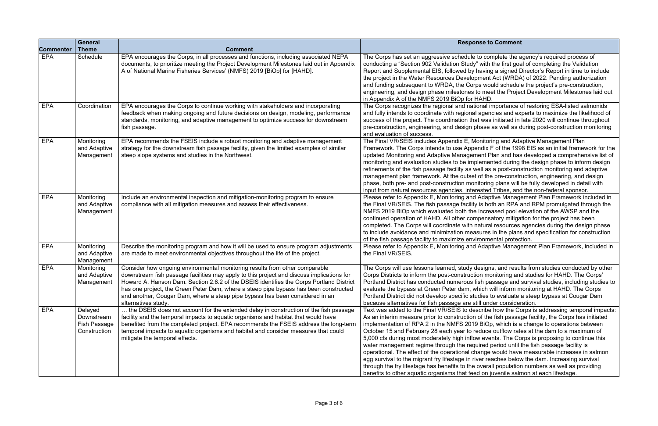### **Responsi** to Comment

complete the agency's required process of vith the first goal of completing the Validation rving a signed Director's Report in time to include ent Act (WRDA) of 2022. Pending authorization would schedule the project's pre-construction, meet the Project Development Milestones laid out

al importance of restoring ESA-listed salmonids gencies and experts to maximize the likelihood of was initiated in late 2020 will continue throughout ase as well as during post-construction monitoring

itoring and Adaptive Management Plan  $R$ ix F of the 1998 EIS as an initial framework for the nt Plan and has developed a comprehensive list of mented during the design phase to inform design as a post-construction monitoring and adaptive the pre-construction, engineering, and design ring plans will be fully developed in detail with ted Tribes, and the non-federal sponsor.

daptive Management Plan Framework included in both an RPA and RPM promulgated through the creased pool elevation of the AWSP and the ensatory mitigation for the project has been ural resources agencies during the design phase res in the plans and specification for construction nmental protection.

daptive Management Plan Framework, included in

igns, and results from studies conducted by other monitoring and studies for HAHD. The Corps' passage and survival studies, including studies to ch will inform monitoring at HAHD. The Corps es to evaluate a steep bypass at Cougar Dam under consideration.

ribe how the Corps is addressing temporal impacts:  $\dot{\theta}$  the fish passage facility, the Corps has initiated  $B$ iOp, which is a change to operations between uce outflow rates at the dam to a maximum of events. The Corps is proposing to continue this. ed period until the fish passage facility is nge would have measurable increases in salmon reaches below the dam. Increasing survival erall population numbers as well as providing on juvenile salmon at each lifestage.

| <b>Commenter</b> | <b>General</b><br><b>Theme</b>                        | <b>Comment</b>                                                                                                                                                                                                                                                                                                                                                                                                                                                     | <b>Response to</b>                                                                                                                                                                                                                                                                                                                                                                                                                                                                                                                            |
|------------------|-------------------------------------------------------|--------------------------------------------------------------------------------------------------------------------------------------------------------------------------------------------------------------------------------------------------------------------------------------------------------------------------------------------------------------------------------------------------------------------------------------------------------------------|-----------------------------------------------------------------------------------------------------------------------------------------------------------------------------------------------------------------------------------------------------------------------------------------------------------------------------------------------------------------------------------------------------------------------------------------------------------------------------------------------------------------------------------------------|
| <b>EPA</b>       | Schedule                                              | EPA encourages the Corps, in all processes and functions, including associated NEPA<br>documents, to prioritize meeting the Project Development Milestones laid out in Appendix<br>A of National Marine Fisheries Services' (NMFS) 2019 [BiOp] for [HAHD].                                                                                                                                                                                                         | The Corps has set an aggressive schedule to con<br>conducting a "Section 902 Validation Study" with<br>Report and Supplemental EIS, followed by having<br>the project in the Water Resources Development<br>and funding subsequent to WRDA, the Corps wor<br>engineering, and design phase milestones to mee<br>in Appendix A of the NMFS 2019 BiOp for HAHD.                                                                                                                                                                                 |
| EPA              | Coordination                                          | EPA encourages the Corps to continue working with stakeholders and incorporating<br>feedback when making ongoing and future decisions on design, modeling, performance<br>standards, monitoring, and adaptive management to optimize success for downstream<br>fish passage.                                                                                                                                                                                       | The Corps recognizes the regional and national ir<br>and fully intends to coordinate with regional agene<br>success of the project. The coordination that was<br>pre-construction, engineering, and design phase a<br>and evaluation of success.                                                                                                                                                                                                                                                                                              |
| <b>EPA</b>       | Monitoring<br>and Adaptive<br>Management              | EPA recommends the FSEIS include a robust monitoring and adaptive management<br>strategy for the downstream fish passage facility, given the limited examples of similar<br>steep slope systems and studies in the Northwest.                                                                                                                                                                                                                                      | The Final VR/SEIS includes Appendix E, Monitori<br>Framework. The Corps intends to use Appendix F<br>updated Monitoring and Adaptive Management PI<br>monitoring and evaluation studies to be implemer<br>refinements of the fish passage facility as well as<br>management plan framework. At the outset of the<br>phase, both pre- and post-construction monitoring<br>input from natural resources agencies, interested                                                                                                                    |
| <b>EPA</b>       | Monitoring<br>and Adaptive<br>Management              | Include an environmental inspection and mitigation-monitoring program to ensure<br>compliance with all mitigation measures and assess their effectiveness.                                                                                                                                                                                                                                                                                                         | Please refer to Appendix E, Monitoring and Adapt<br>the Final VR/SEIS. The fish passage facility is bot<br>NMFS 2019 BiOp which evaluated both the increa<br>continued operation of HAHD. All other compensa<br>completed. The Corps will coordinate with natural<br>to include avoidance and minimization measures<br>of the fish passage facility to maximize environme                                                                                                                                                                     |
| <b>EPA</b>       | Monitoring<br>and Adaptive<br>Management              | Describe the monitoring program and how it will be used to ensure program adjustments<br>are made to meet environmental objectives throughout the life of the project.                                                                                                                                                                                                                                                                                             | Please refer to Appendix E, Monitoring and Adapt<br>the Final VR/SEIS.                                                                                                                                                                                                                                                                                                                                                                                                                                                                        |
| <b>EPA</b>       | Monitoring<br>and Adaptive<br>Management              | Consider how ongoing environmental monitoring results from other comparable<br>downstream fish passage facilities may apply to this project and discuss implications for<br>Howard A. Hanson Dam. Section 2.6.2 of the DSEIS identifies the Corps Portland District<br>has one project, the Green Peter Dam, where a steep pipe bypass has been constructed<br>and another, Cougar Dam, where a steep pipe bypass has been considered in an<br>alternatives study. | The Corps will use lessons learned, study designs<br>Corps Districts to inform the post-construction mo<br>Portland District has conducted numerous fish pa<br>evaluate the bypass at Green Peter dam, which w<br>Portland District did not develop specific studies to<br>because alternatives for fish passage are still und                                                                                                                                                                                                                |
| <b>EPA</b>       | Delayed<br>Downstream<br>Fish Passage<br>Construction | the DSEIS does not account for the extended delay in construction of the fish passage<br>facility and the temporal impacts to aquatic organisms and habitat that would have<br>benefited from the completed project. EPA recommends the FSEIS address the long-term<br>temporal impacts to aquatic organisms and habitat and consider measures that could<br>mitigate the temporal effects.                                                                        | Text was added to the Final VR/SEIS to describe<br>As an interim measure prior to construction of the<br>implementation of RPA 2 in the NMFS 2019 BiOp<br>October 15 and February 28 each year to reduce<br>5,000 cfs during most moderately high inflow ever<br>water management regime through the required p<br>operational. The effect of the operational change<br>egg survival to the migrant fry lifestage in river rea<br>through the fry lifestage has benefits to the overal<br>benefits to other aquatic organisms that feed on ju |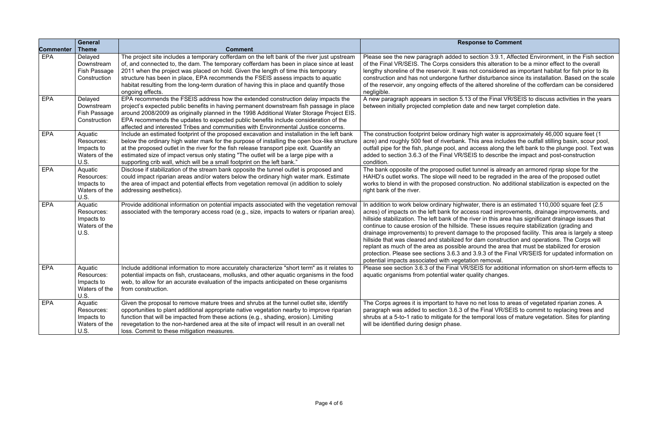#### **Responsi**ce to Comment

on 3.9.1, Affected Environment, in the Fish section is alteration to be a minor effect to the overall considered as important habitat for fish prior to its isturbance since its installation. Based on the scale ered shoreline of the cofferdam can be considered

he Final VR/SEIS to discuss activities in the years d new target completion date.

 $\overline{\text{a}}$  water is approximately 46,000 square feet (1 area includes the outfall stilling basin, scour pool, ss along the left bank to the plunge pool. Text was describe the impact and post-construction

nel is already an armored riprap slope for the e regraded in the area of the proposed outlet ion. No additional stabilization is expected on the

there is an estimated 110,000 square feet  $(2.5$ oad improvements, drainage improvements, and in this area has significant drainage issues that se issues require stabilization (grading and  $\alpha$  the proposed facility. This area is largely a steep m construction and operations. The Corps will nd the area that must be stabilized for erosion .3 of the Final VR/SEIS for updated information on emoval.

for additional information on short-term effects to changes.

et loss to areas of vegetated riparian zones. A Final VR/SEIS to commit to replacing trees and poral loss of mature vegetation. Sites for planting

|                  | <b>General</b>                                               |                                                                                                                                                                                                                                                                                                                                                                                                                                                                                | <b>Respons</b>                                                                                                                                                                                                                                                                                                                                                                                                                                                          |
|------------------|--------------------------------------------------------------|--------------------------------------------------------------------------------------------------------------------------------------------------------------------------------------------------------------------------------------------------------------------------------------------------------------------------------------------------------------------------------------------------------------------------------------------------------------------------------|-------------------------------------------------------------------------------------------------------------------------------------------------------------------------------------------------------------------------------------------------------------------------------------------------------------------------------------------------------------------------------------------------------------------------------------------------------------------------|
| <b>Commenter</b> | <b>Theme</b>                                                 | <b>Comment</b>                                                                                                                                                                                                                                                                                                                                                                                                                                                                 |                                                                                                                                                                                                                                                                                                                                                                                                                                                                         |
| <b>EPA</b>       | Delayed<br>Downstream<br>Fish Passage<br>Construction        | The project site includes a temporary cofferdam on the left bank of the river just upstream<br>of, and connected to, the dam. The temporary cofferdam has been in place since at least<br>2011 when the project was placed on hold. Given the length of time this temporary<br>structure has been in place, EPA recommends the FSEIS assess impacts to aquatic<br>habitat resulting from the long-term duration of having this in place and quantify those<br>ongoing effects. | Please see the new paragraph added to section<br>of the Final VR/SEIS. The Corps considers thi<br>lengthy shoreline of the reservoir. It was not co<br>construction and has not undergone further dis<br>of the reservoir, any ongoing effects of the alte<br>negligible.                                                                                                                                                                                               |
| <b>EPA</b>       | Delayed<br>Downstream<br>Fish Passage<br>Construction        | EPA recommends the FSEIS address how the extended construction delay impacts the<br>project's expected public benefits in having permanent downstream fish passage in place<br>around 2008/2009 as originally planned in the 1998 Additional Water Storage Project EIS.<br>EPA recommends the updates to expected public benefits include consideration of the<br>affected and interested Tribes and communities with Environmental Justice concerns.                          | A new paragraph appears in section 5.13 of th<br>between initially projected completion date and                                                                                                                                                                                                                                                                                                                                                                        |
| <b>EPA</b>       | Aquatic<br>Resources:<br>Impacts to<br>Waters of the<br>U.S. | Include an estimated footprint of the proposed excavation and installation in the left bank<br>below the ordinary high water mark for the purpose of installing the open box-like structure<br>at the proposed outlet in the river for the fish release transport pipe exit. Quantify an<br>estimated size of impact versus only stating "The outlet will be a large pipe with a<br>supporting crib wall, which will be a small footprint on the left bank."                   | The construction footprint below ordinary high<br>acre) and roughly 500 feet of riverbank. This a<br>outfall pipe for the fish, plunge pool, and acces<br>added to section 3.6.3 of the Final VR/SEIS to<br>condition.                                                                                                                                                                                                                                                  |
| <b>EPA</b>       | Aquatic<br>Resources:<br>Impacts to<br>Waters of the<br>U.S. | Disclose if stabilization of the stream bank opposite the tunnel outlet is proposed and<br>could impact riparian areas and/or waters below the ordinary high water mark. Estimate<br>the area of impact and potential effects from vegetation removal (in addition to solely<br>addressing aesthetics).                                                                                                                                                                        | The bank opposite of the proposed outlet tunn<br>HAHD's outlet works. The slope will need to be<br>works to blend in with the proposed construction<br>right bank of the river.                                                                                                                                                                                                                                                                                         |
| <b>EPA</b>       | Aquatic<br>Resources:<br>Impacts to<br>Waters of the<br>U.S. | Provide additional information on potential impacts associated with the vegetation removal<br>associated with the temporary access road (e.g., size, impacts to waters or riparian area).                                                                                                                                                                                                                                                                                      | In addition to work below ordinary highwater, t<br>acres) of impacts on the left bank for access re<br>hillside stabilization. The left bank of the river i<br>continue to cause erosion of the hillside. Thes<br>drainage improvements) to prevent damage to<br>hillside that was cleared and stabilized for dan<br>replant as much of the area as possible aroun<br>protection. Please see sections 3.6.3 and 3.9.<br>potential impacts associated with vegetation re |
| <b>EPA</b>       | Aquatic<br>Resources:<br>Impacts to<br>Waters of the<br>U.S. | Include additional information to more accurately characterize "short term" as it relates to<br>potential impacts on fish, crustaceans, mollusks, and other aquatic organisms in the food<br>web, to allow for an accurate evaluation of the impacts anticipated on these organisms<br>from construction.                                                                                                                                                                      | Please see section 3.6.3 of the Final VR/SEIS<br>aquatic organisms from potential water quality                                                                                                                                                                                                                                                                                                                                                                         |
| <b>EPA</b>       | Aquatic<br>Resources:<br>Impacts to<br>Waters of the<br>U.S. | Given the proposal to remove mature trees and shrubs at the tunnel outlet site, identify<br>opportunities to plant additional appropriate native vegetation nearby to improve riparian<br>function that will be impacted from these actions (e.g., shading, erosion). Limiting<br>revegetation to the non-hardened area at the site of impact will result in an overall net<br>loss. Commit to these mitigation measures.                                                      | The Corps agrees it is important to have no ne<br>paragraph was added to section 3.6.3 of the F<br>shrubs at a 5-to-1 ratio to mitigate for the temp<br>will be identified during design phase.                                                                                                                                                                                                                                                                         |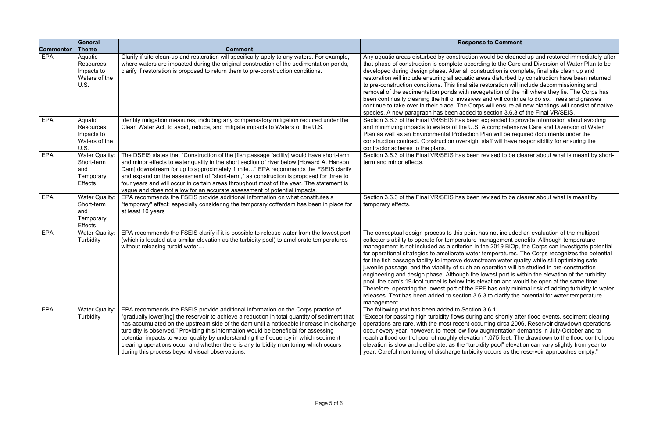### **Re to Comment**

vould be cleaned up and restored immediately after ing to the Care and Diversion of Water Plan to be struction is complete, final site clean up and eas disturbed by construction have been returned estoration will include decommissioning and getation of the hill where they lie. The Corps has and will continue to do so. Trees and grasses s will ensure all new plantings will consist of native section 3.6.3 of the Final VR/SEIS.

expanded to provide information about avoiding A comprehensive Care and Diversion of Water Plan will be required documents under the staff will have responsibility for ensuring the

revised to be clearer about what is meant by short-

revised to be clearer about what is meant by

as not included an evaluation of the multiport anagement benefits. Although temperature he 2019 BiOp, the Corps can investigate potential temperatures. The Corps recognizes the potential fream water quality while still optimizing safe operation will be studied in pre-construction owest port is within the elevation of the turbidity evation and would be open at the same time. F has only minimal risk of adding turbidity to water .3 to clarify the potential for water temperature

and shortly after flood events, sediment clearing arring circa 2006. Reservoir drawdown operations ugmentation demands in July-October and to 1,075 feet. The drawdown to the flood control pool lity pool" elevation can vary slightly from year to occurs as the reservoir approaches empty."

| <b>Commenter</b> | <b>General</b><br><b>Theme</b>                                            | <b>Comment</b>                                                                                                                                                                                                                                                                                                                                                                                                                                                                                                                                                                                          | <b>Response to C</b>                                                                                                                                                                                                                                                                                                                                                                                                                                                                                                                                                                  |
|------------------|---------------------------------------------------------------------------|---------------------------------------------------------------------------------------------------------------------------------------------------------------------------------------------------------------------------------------------------------------------------------------------------------------------------------------------------------------------------------------------------------------------------------------------------------------------------------------------------------------------------------------------------------------------------------------------------------|---------------------------------------------------------------------------------------------------------------------------------------------------------------------------------------------------------------------------------------------------------------------------------------------------------------------------------------------------------------------------------------------------------------------------------------------------------------------------------------------------------------------------------------------------------------------------------------|
| <b>EPA</b>       | Aquatic<br>Resources:<br>Impacts to<br>Waters of the<br><b>U.S.</b>       | Clarify if site clean-up and restoration will specifically apply to any waters. For example,<br>where waters are impacted during the original construction of the sedimentation ponds,<br>clarify if restoration is proposed to return them to pre-construction conditions.                                                                                                                                                                                                                                                                                                                             | Any aquatic areas disturbed by construction would<br>that phase of construction is complete according to<br>developed during design phase. After all construction<br>restoration will include ensuring all aquatic areas dis<br>to pre-construction conditions. This final site restora<br>removal of the sedimentation ponds with revegetation<br>been continually cleaning the hill of invasives and w<br>continue to take over in their place. The Corps will a<br>species. A new paragraph has been added to section                                                              |
| <b>EPA</b>       | Aquatic<br>Resources:<br>Impacts to<br>Waters of the<br>U.S.              | Identify mitigation measures, including any compensatory mitigation required under the<br>Clean Water Act, to avoid, reduce, and mitigate impacts to Waters of the U.S.                                                                                                                                                                                                                                                                                                                                                                                                                                 | Section 3.6.3 of the Final VR/SEIS has been expan<br>and minimizing impacts to waters of the U.S. A com<br>Plan as well as an Environmental Protection Plan w<br>construction contract. Construction oversight staff w<br>contractor adheres to the plans.                                                                                                                                                                                                                                                                                                                            |
| <b>EPA</b>       | <b>Water Quality:</b><br>Short-term<br>and<br>Temporary<br><b>Effects</b> | The DSEIS states that "Construction of the [fish passage facility] would have short-term<br>and minor effects to water quality in the short section of river below [Howard A. Hanson<br>Dam] downstream for up to approximately 1 mile" EPA recommends the FSEIS clarify<br>and expand on the assessment of "short-term," as construction is proposed for three to<br>four years and will occur in certain areas throughout most of the year. The statement is<br>vague and does not allow for an accurate assessment of potential impacts.                                                             | Section 3.6.3 of the Final VR/SEIS has been revise<br>term and minor effects.                                                                                                                                                                                                                                                                                                                                                                                                                                                                                                         |
| <b>EPA</b>       | <b>Water Quality:</b><br>Short-term<br>and<br>Temporary<br><b>Effects</b> | EPA recommends the FSEIS provide additional information on what constitutes a<br>"temporary" effect; especially considering the temporary cofferdam has been in place for<br>at least 10 years                                                                                                                                                                                                                                                                                                                                                                                                          | Section 3.6.3 of the Final VR/SEIS has been revise<br>temporary effects.                                                                                                                                                                                                                                                                                                                                                                                                                                                                                                              |
| <b>EPA</b>       | <b>Water Quality:</b><br>Turbidity                                        | EPA recommends the FSEIS clarify if it is possible to release water from the lowest port<br>(which is located at a similar elevation as the turbidity pool) to ameliorate temperatures<br>without releasing turbid water                                                                                                                                                                                                                                                                                                                                                                                | The conceptual design process to this point has not<br>collector's ability to operate for temperature manage<br>management is not included as a criterion in the 20<br>for operational strategies to ameliorate water tempe<br>for the fish passage facility to improve downstream<br>juvenile passage, and the viability of such an opera<br>engineering and design phase. Although the lowest<br>pool, the dam's 19-foot tunnel is below this elevatio<br>Therefore, operating the lowest port of the FPF has<br>releases. Text has been added to section 3.6.3 to c<br>management. |
| <b>EPA</b>       | <b>Water Quality:</b><br>Turbidity                                        | EPA recommends the FSEIS provide additional information on the Corps practice of<br>"gradually lower[ing] the reservoir to achieve a reduction in total quantity of sediment that<br>has accumulated on the upstream side of the dam until a noticeable increase in discharge<br>turbidity is observed." Providing this information would be beneficial for assessing<br>potential impacts to water quality by understanding the frequency in which sediment<br>clearing operations occur and whether there is any turbidity monitoring which occurs<br>during this process beyond visual observations. | The following text has been added to Section 3.6.1:<br>"Except for passing high turbidity flows during and s<br>operations are rare, with the most recent occurring<br>occur every year, however, to meet low flow augme<br>reach a flood control pool of roughly elevation 1,075<br>elevation is slow and deliberate, as the "turbidity po<br>year. Careful monitoring of discharge turbidity occu                                                                                                                                                                                   |